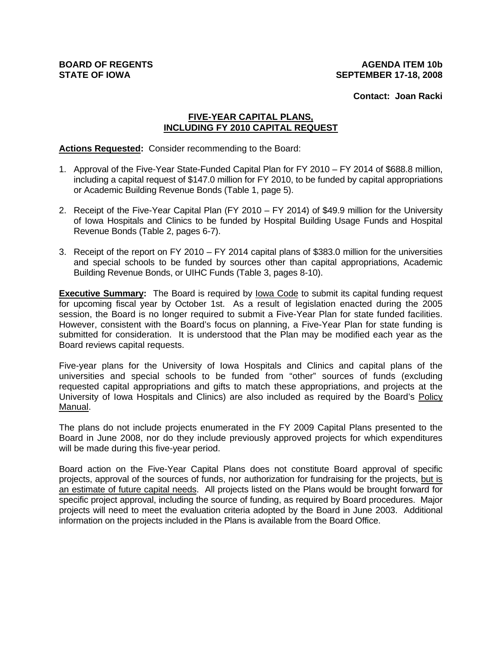**Contact: Joan Racki**

# **FIVE-YEAR CAPITAL PLANS, INCLUDING FY 2010 CAPITAL REQUEST**

**Actions Requested:** Consider recommending to the Board:

- 1. Approval of the Five-Year State-Funded Capital Plan for FY 2010 FY 2014 of \$688.8 million, including a capital request of \$147.0 million for FY 2010, to be funded by capital appropriations or Academic Building Revenue Bonds (Table 1, page 5).
- 2. Receipt of the Five-Year Capital Plan (FY 2010 FY 2014) of \$49.9 million for the University of Iowa Hospitals and Clinics to be funded by Hospital Building Usage Funds and Hospital Revenue Bonds (Table 2, pages 6-7).
- 3. Receipt of the report on FY 2010 FY 2014 capital plans of \$383.0 million for the universities and special schools to be funded by sources other than capital appropriations, Academic Building Revenue Bonds, or UIHC Funds (Table 3, pages 8-10).

**Executive Summary:** The Board is required by Iowa Code to submit its capital funding request for upcoming fiscal year by October 1st. As a result of legislation enacted during the 2005 session, the Board is no longer required to submit a Five-Year Plan for state funded facilities. However, consistent with the Board's focus on planning, a Five-Year Plan for state funding is submitted for consideration. It is understood that the Plan may be modified each year as the Board reviews capital requests.

Five-year plans for the University of Iowa Hospitals and Clinics and capital plans of the universities and special schools to be funded from "other" sources of funds (excluding requested capital appropriations and gifts to match these appropriations, and projects at the University of Iowa Hospitals and Clinics) are also included as required by the Board's Policy Manual.

The plans do not include projects enumerated in the FY 2009 Capital Plans presented to the Board in June 2008, nor do they include previously approved projects for which expenditures will be made during this five-year period.

Board action on the Five-Year Capital Plans does not constitute Board approval of specific projects, approval of the sources of funds, nor authorization for fundraising for the projects, but is an estimate of future capital needs. All projects listed on the Plans would be brought forward for specific project approval, including the source of funding, as required by Board procedures. Major projects will need to meet the evaluation criteria adopted by the Board in June 2003. Additional information on the projects included in the Plans is available from the Board Office.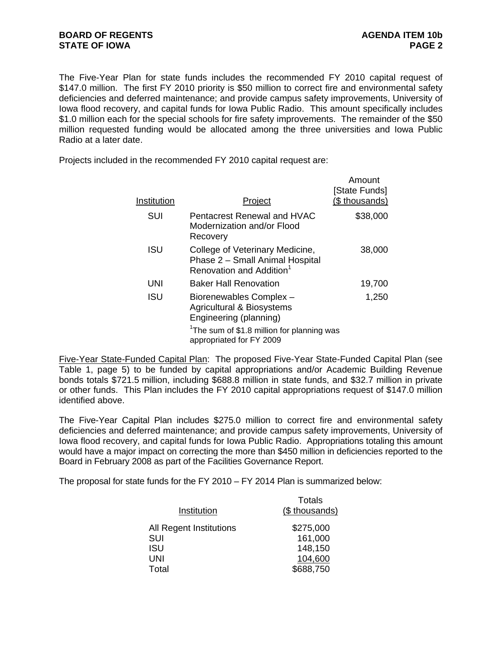The Five-Year Plan for state funds includes the recommended FY 2010 capital request of \$147.0 million. The first FY 2010 priority is \$50 million to correct fire and environmental safety deficiencies and deferred maintenance; and provide campus safety improvements, University of Iowa flood recovery, and capital funds for Iowa Public Radio. This amount specifically includes \$1.0 million each for the special schools for fire safety improvements. The remainder of the \$50 million requested funding would be allocated among the three universities and Iowa Public Radio at a later date.

Projects included in the recommended FY 2010 capital request are:

| Institution | <u>Project</u>                                                                                             | Amount<br>[State Funds]<br>(\$ thousands) |
|-------------|------------------------------------------------------------------------------------------------------------|-------------------------------------------|
| SUI         | <b>Pentacrest Renewal and HVAC</b><br>Modernization and/or Flood<br>Recovery                               | \$38,000                                  |
| ISU         | College of Veterinary Medicine,<br>Phase 2 - Small Animal Hospital<br>Renovation and Addition <sup>1</sup> | 38,000                                    |
| UNI         | <b>Baker Hall Renovation</b>                                                                               | 19,700                                    |
| <b>ISU</b>  | Biorenewables Complex -<br><b>Agricultural &amp; Biosystems</b><br>Engineering (planning)                  | 1,250                                     |
|             | <sup>1</sup> The sum of \$1.8 million for planning was<br>appropriated for FY 2009                         |                                           |

Five-Year State-Funded Capital Plan: The proposed Five-Year State-Funded Capital Plan (see Table 1, page 5) to be funded by capital appropriations and/or Academic Building Revenue bonds totals \$721.5 million, including \$688.8 million in state funds, and \$32.7 million in private or other funds. This Plan includes the FY 2010 capital appropriations request of \$147.0 million identified above.

The Five-Year Capital Plan includes \$275.0 million to correct fire and environmental safety deficiencies and deferred maintenance; and provide campus safety improvements, University of Iowa flood recovery, and capital funds for Iowa Public Radio. Appropriations totaling this amount would have a major impact on correcting the more than \$450 million in deficiencies reported to the Board in February 2008 as part of the Facilities Governance Report.

The proposal for state funds for the FY 2010 – FY 2014 Plan is summarized below:

|                         | Totals         |
|-------------------------|----------------|
| Institution             | (\$ thousands) |
| All Regent Institutions | \$275,000      |
| SUI                     | 161,000        |
| <b>ISU</b>              | 148,150        |
| UNI                     | 104,600        |
| Total                   | \$688,750      |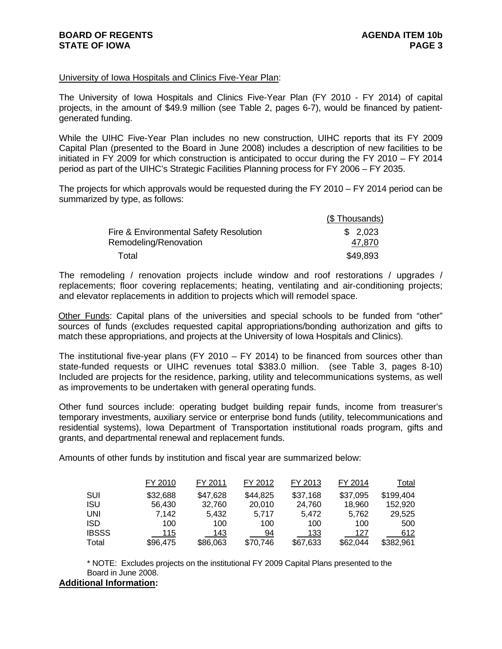### University of Iowa Hospitals and Clinics Five-Year Plan:

The University of Iowa Hospitals and Clinics Five-Year Plan (FY 2010 - FY 2014) of capital projects, in the amount of \$49.9 million (see Table 2, pages 6-7), would be financed by patientgenerated funding.

While the UIHC Five-Year Plan includes no new construction, UIHC reports that its FY 2009 Capital Plan (presented to the Board in June 2008) includes a description of new facilities to be initiated in FY 2009 for which construction is anticipated to occur during the FY 2010 – FY 2014 period as part of the UIHC's Strategic Facilities Planning process for FY 2006 – FY 2035.

The projects for which approvals would be requested during the FY 2010 – FY 2014 period can be summarized by type, as follows:

|                                        | (\$Thousands) |
|----------------------------------------|---------------|
| Fire & Environmental Safety Resolution | \$2,023       |
| Remodeling/Renovation                  | 47,870        |
| Total                                  | \$49,893      |

The remodeling / renovation projects include window and roof restorations / upgrades / replacements; floor covering replacements; heating, ventilating and air-conditioning projects; and elevator replacements in addition to projects which will remodel space.

Other Funds: Capital plans of the universities and special schools to be funded from "other" sources of funds (excludes requested capital appropriations/bonding authorization and gifts to match these appropriations, and projects at the University of Iowa Hospitals and Clinics).

The institutional five-year plans (FY 2010 – FY 2014) to be financed from sources other than state-funded requests or UIHC revenues total \$383.0 million. (see Table 3, pages 8-10) Included are projects for the residence, parking, utility and telecommunications systems, as well as improvements to be undertaken with general operating funds.

Other fund sources include: operating budget building repair funds, income from treasurer's temporary investments, auxiliary service or enterprise bond funds (utility, telecommunications and residential systems), Iowa Department of Transportation institutional roads program, gifts and grants, and departmental renewal and replacement funds.

Amounts of other funds by institution and fiscal year are summarized below:

|              | FY 2010    | FY 2011  | FY 2012  | FY 2013  | FY 2014  | Total     |
|--------------|------------|----------|----------|----------|----------|-----------|
| SUI          | \$32,688   | \$47,628 | \$44,825 | \$37,168 | \$37,095 | \$199,404 |
| <b>ISU</b>   | 56,430     | 32.760   | 20,010   | 24,760   | 18.960   | 152.920   |
| UNI          | 7.142      | 5.432    | 5.717    | 5.472    | 5.762    | 29,525    |
| <b>ISD</b>   | 100        | 100      | 100      | 100      | 100      | 500       |
| <b>IBSSS</b> | <b>115</b> | 143      | 94       | 133      | 127      | 612       |
| Total        | \$96,475   | \$86,063 | \$70,746 | \$67,633 | \$62,044 | \$382.961 |

\* NOTE: Excludes projects on the institutional FY 2009 Capital Plans presented to the Board in June 2008.

## **Additional Information:**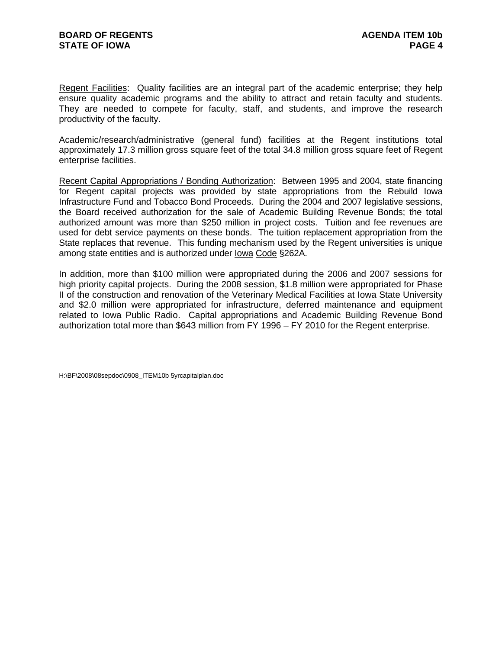Regent Facilities:Quality facilities are an integral part of the academic enterprise; they help ensure quality academic programs and the ability to attract and retain faculty and students. They are needed to compete for faculty, staff, and students, and improve the research productivity of the faculty.

Academic/research/administrative (general fund) facilities at the Regent institutions total approximately 17.3 million gross square feet of the total 34.8 million gross square feet of Regent enterprise facilities.

Recent Capital Appropriations / Bonding Authorization: Between 1995 and 2004, state financing for Regent capital projects was provided by state appropriations from the Rebuild Iowa Infrastructure Fund and Tobacco Bond Proceeds. During the 2004 and 2007 legislative sessions, the Board received authorization for the sale of Academic Building Revenue Bonds; the total authorized amount was more than \$250 million in project costs. Tuition and fee revenues are used for debt service payments on these bonds. The tuition replacement appropriation from the State replaces that revenue. This funding mechanism used by the Regent universities is unique among state entities and is authorized under Iowa Code §262A.

In addition, more than \$100 million were appropriated during the 2006 and 2007 sessions for high priority capital projects. During the 2008 session, \$1.8 million were appropriated for Phase II of the construction and renovation of the Veterinary Medical Facilities at Iowa State University and \$2.0 million were appropriated for infrastructure, deferred maintenance and equipment related to Iowa Public Radio. Capital appropriations and Academic Building Revenue Bond authorization total more than \$643 million from FY 1996 – FY 2010 for the Regent enterprise.

H:\BF\2008\08sepdoc\0908\_ITEM10b 5yrcapitalplan.doc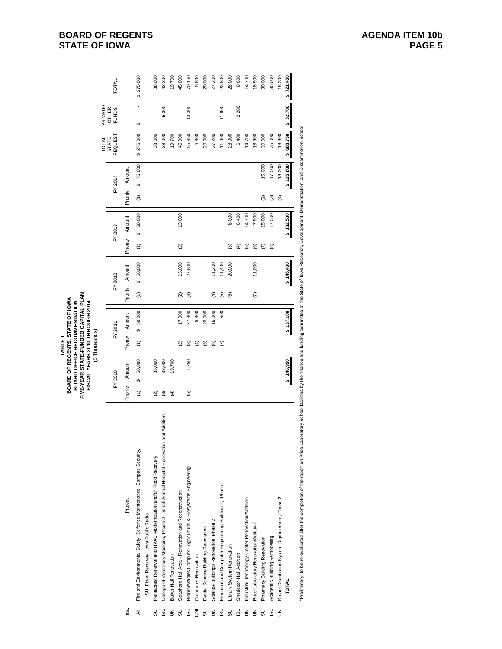|                    |                                                                                                                                                                                                                                |                              | FIVE-YEAR STATE-FUNDED CAPITAL PLAN<br>BOARD OF REGENTS, STATE OF IOWA<br>FISCAL YEARS 2010 THROUGH 2014<br>BOARD OFFICE RECOMMENDATION<br>(\$Thousands)<br>TABLE <sub>1</sub> |                      |             |                    |             |                      |                    |                         |                              |           |
|--------------------|--------------------------------------------------------------------------------------------------------------------------------------------------------------------------------------------------------------------------------|------------------------------|--------------------------------------------------------------------------------------------------------------------------------------------------------------------------------|----------------------|-------------|--------------------|-------------|----------------------|--------------------|-------------------------|------------------------------|-----------|
|                    |                                                                                                                                                                                                                                |                              |                                                                                                                                                                                |                      |             |                    |             |                      |                    | <b>TOTAL</b>            | PRIVATE                      |           |
|                    |                                                                                                                                                                                                                                | FY 2010                      | FY 2011                                                                                                                                                                        |                      | FY 2012     |                    | FY 2013     |                      | FY 2014            | REQUEST<br><b>STATE</b> | <b>OTHER</b><br><b>FUNDS</b> | TOTAL     |
| Inst.              | Project                                                                                                                                                                                                                        | Amount<br>Priority           | Amount<br>Priority                                                                                                                                                             | Priority             | Amount      | Priority           | Amount      | Priority             | Amount             |                         |                              |           |
| ₹                  | Fire and Environmental Safety, Deferred Maintenance, Campus Security,                                                                                                                                                          | 50,000<br>↮<br>$\widehat{E}$ | 50,000<br>↮<br>$\widehat{E}$                                                                                                                                                   | $\widehat{E}$        | 50,000<br>ക | $\widehat{z}$      | 50,000<br>↔ | $\widehat{\epsilon}$ | 75,000<br>$\theta$ | \$275,000               | ↮                            | \$275,000 |
|                    | SUI Flood Recovery, Iowa Public Radio                                                                                                                                                                                          |                              |                                                                                                                                                                                |                      |             |                    |             |                      |                    |                         |                              |           |
| 5UI                | Pentacrest Renewal and HVAC Modernization and/or Flood Recovery                                                                                                                                                                | 38,000<br>ହ                  |                                                                                                                                                                                |                      |             |                    |             |                      |                    | 38,000                  |                              | 38,000    |
| <b>USI</b>         | and Addition<br>College of Veterinary Medicine, Phase 2 - Small Animal Hospital Renovation                                                                                                                                     | 38,000<br>ම                  |                                                                                                                                                                                |                      |             |                    |             |                      |                    | 38,000                  | 5,300                        | 43,300    |
| ξ                  | Baker Hall Renovation                                                                                                                                                                                                          | 19,700<br>$\widehat{f}$      |                                                                                                                                                                                |                      |             |                    |             |                      |                    | 19,700                  |                              | 19,700    |
| 5UI                | Seashore Hall Area - Renovation and Reconstruction                                                                                                                                                                             |                              | 17,000<br>ন                                                                                                                                                                    | $\widehat{\alpha}$   | 15,000      | $\widehat{\infty}$ | 13,000      |                      |                    | 45,000                  |                              | 45,000    |
| <b>USI</b>         | Biorenewables Complex - Agricultural & Biosystems Engineering                                                                                                                                                                  | 1,250<br>$\overline{5}$      | 27,800<br>ම                                                                                                                                                                    | ම                    | 27,800      |                    |             |                      |                    | 56,850                  | 13,300                       | 70,150    |
| $\bar{\mathbf{z}}$ | Commons Renovation                                                                                                                                                                                                             |                              | 5,800<br>€                                                                                                                                                                     |                      |             |                    |             |                      |                    | 5,800                   |                              | 5,800     |
| SUI                | Dental Science Building Renovation                                                                                                                                                                                             |                              | 20,000<br>$\widehat{\mathfrak{G}}$                                                                                                                                             |                      |             |                    |             |                      |                    | 20,000                  |                              | 20,000    |
| $\overline{5}$     | Science Buildings Renovation, Phase 2                                                                                                                                                                                          |                              | 16,000<br>©                                                                                                                                                                    | E)                   | 11,200      |                    |             |                      |                    | 27,200                  |                              | 27,200    |
| <b>USI</b>         | Electrical and Computer Engineering Building 2, Phase 2                                                                                                                                                                        |                              | 500<br>E                                                                                                                                                                       | <u>ව</u>             | 11,400      |                    |             |                      |                    | 11,900                  | 11,900                       | 23,800    |
| 5JJ                | Library System Renovation                                                                                                                                                                                                      |                              |                                                                                                                                                                                | $\widehat{e}$        | 20,000      | ම                  | 8,000       |                      |                    | 28,000                  |                              | 28,000    |
| <b>USI</b>         | Snedecor Hall Addition                                                                                                                                                                                                         |                              |                                                                                                                                                                                |                      |             | ⊕                  | 6,400       |                      |                    | 6,400                   | 2,200                        | 8,600     |
| $\bar{\mathbf{z}}$ | Industrial Technology Center Renovation/Addition                                                                                                                                                                               |                              |                                                                                                                                                                                |                      |             | ত্ৰ                | 14,700      |                      |                    | 14,700                  |                              | 14,700    |
| $\bar{\mathbf{z}}$ | Price Laboratory Renovation/Addition                                                                                                                                                                                           |                              |                                                                                                                                                                                | $\widehat{\epsilon}$ | 11,000      | ම                  | 7,900       |                      |                    | 18,900                  |                              | 18,900    |
| 5UI                | Pharmacy Building Renovation                                                                                                                                                                                                   |                              |                                                                                                                                                                                |                      |             | ε                  | 15,000      | ତ୍ର                  | 15,000             | 30,000                  |                              | 30,000    |
| <b>USI</b>         | Academic Building Remodeling                                                                                                                                                                                                   |                              |                                                                                                                                                                                |                      |             | ම                  | 17,500      | ම                    | 17,500             | 35,000                  |                              | 35,000    |
| $\bar{\mathbf{z}}$ | Steam Distribution System Replacement, Phase 2                                                                                                                                                                                 |                              |                                                                                                                                                                                |                      |             |                    |             | $\widehat{f}$        | 18,300             | 18,300                  |                              | 18,300    |
|                    | <b>TOTAL</b>                                                                                                                                                                                                                   | \$146,950                    | \$137,100                                                                                                                                                                      |                      | \$146,400   |                    | \$132,500   |                      | \$125,800          | \$688,750               | \$32,700                     | \$721,450 |
|                    | Preliminany to be reevaluated after the completion of the report on Price Laboratory School facilities by the finance and funding committee of the State of lowa Research. Development. Demonstration, and Dissemination Schoo |                              |                                                                                                                                                                                |                      |             |                    |             |                      |                    |                         |                              |           |

Prelimirary, to be reevaluated after the completion of the report on Price Laboratory School facilities by the finance and funding committee of the State of lowa Research, Development, Demonstration, and Dissemination Scho

**BOARD OF REGENTS STATE OF IOWA**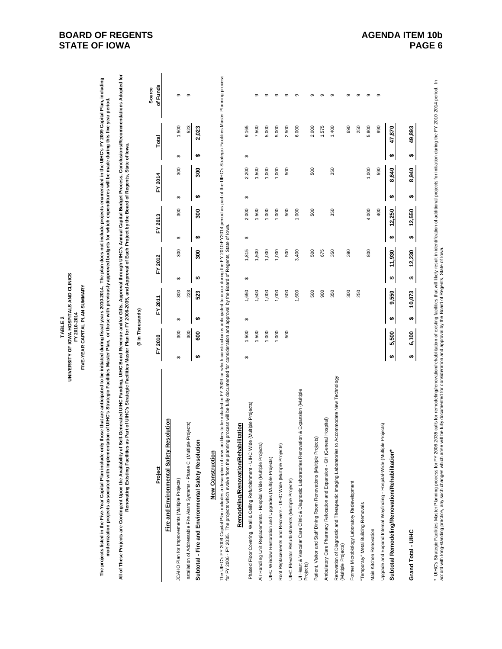| UNIVERSITY OF IOWA HOSPITALS AND CLINICS<br>FIVE-YEAR CAPITAL PLAN SUMMARY<br>FY 2010-2014<br><b>TABLE 2</b> |
|--------------------------------------------------------------------------------------------------------------|
|--------------------------------------------------------------------------------------------------------------|

The projects listed in the Five-Year Capital Plan include only those that are anticipated to be initiated during fiscal years 2010-2014. The plan does not include projects enumerated in the UHC's FY 2009 Capital Plan, incl The projects listed in the Five-Year Capital Plan include only those that are anticipated to be initiated during fiscal years 2010-2014. The plan does not include projects enumerated in the UIHC's FY 2009 Capital Plan, inc **modernization projects associated with implementation of UIHC's Strategic Facilities Master Plan, or those with previously approved budgets for which expenditures will be made during this five year period.**

All of These Projects are Contingent Upon the Availability of Self-Generated UIHC s Scratchers, and or Gifts, Approval through UIHC's Annual Capital Budget Process, ConclusionsRecommendations Adopted for<br>Renovating Existin All of These Projects are Contingent Upon the Availability of Self-Generated UIHC Funding, UIHC Bond Revenue and/or Cifics, Approval through UIHC's Annual Capital Budget Process, Conclusions/Recommendations Adopted for **Renovating Existing Facilities as Part of UIHC's Strategic Facilities Master Plan for FY 2006-2035, and Approval of Each Project by the Board of Regents, State of Iowa.**

|                                                                 |         | in Thousands |         |         |     |               |                 |       |                    |
|-----------------------------------------------------------------|---------|--------------|---------|---------|-----|---------------|-----------------|-------|--------------------|
| Project                                                         | FY 2010 |              | FY 2011 | FY 2012 |     | FY 2013       | FY 2014         | Total | of Funds<br>Source |
| Fire and Environmental Safety                                   |         |              |         |         |     |               |                 |       |                    |
| JCAHO Plan for Improvements (Multiple Projects)                 |         |              | 300     |         | 800 | $\frac{8}{2}$ | $\frac{8}{300}$ |       |                    |
| nstallation of Addressable Fire Alarm Systems - Phase C (Multip | 300     |              | 223     |         |     |               |                 | 523   | ග                  |
| Subtotal - Fire and Environmental Safety Resolution             |         |              |         |         |     |               | ន្ល             | 2,023 |                    |
|                                                                 |         |              |         |         |     |               |                 |       |                    |

# **New Construction New Construction**

The UHC's FY 2009 Capital Plan includes a description of new facilities to be initiated in FY 2009 for which construction is anticipated to occur during the FY 2014 period as part of the UHC's Strategic Facilities Master P The UIHC's FY 2009 Capital Plan includes a description of new factions to be initiated in FY 2009 for which construction is anticipated to occur during the FY 2010-FY2014 period as part of the UIHC's Strategic Facilities M for FY 2006 - FY 2035. The projects which evolve from the planning process will be fully documented for consideration and approval by the Board of Regents, State of Iowa.

| <b>Rehabilitation</b><br>Remodeling/Renovation/R                                                        |    |       |   |        |    |        |   |        |    |       |    |            |   |
|---------------------------------------------------------------------------------------------------------|----|-------|---|--------|----|--------|---|--------|----|-------|----|------------|---|
| Phased Floor Covering, Wall & Ceiling Refurbishment - UlHC Wide (Multiple Projects)                     | ↮  | .500  | ↮ | 1,650  | ↮  | 1,815  | ↮ | 2,000  | ↔  | 2,200 | ↮  | 9,165      |   |
| Air Handling Unit Replacements - Hospital Wide (Multiple Projects)                                      |    | .500  |   | 1,500  |    | 1,500  |   | 500    |    | 1,500 |    | 7,500      | ග |
| UIHC Window Restoration and Upgrades (Multiple Projects)                                                |    | 1,000 |   | 1,000  |    | 1,000  |   | 1,000  |    | 000.1 |    | 5,000      | ന |
| ojects)<br>Roof Replacements and Recovers - UIHC Wide (Multiple Pr                                      |    | 000.1 |   | 1,000  |    | 1,000  |   | 000    |    | 000   |    | 5,000      | ന |
| UIHC Elevator Refurbishments (Multiple Projects)                                                        |    | 500   |   | 500    |    | 500    |   | 500    |    | 500   |    | 2,500      | ത |
| Ul Heart & Vascular Care Clinic & Diagnostic Laboratories Renovation & Expansion (Multiple<br>Projects) |    |       |   | 1,600  |    | 3,400  |   | 1,000  |    |       |    | 6,000      | ග |
| Patient, Visitor and Staff Dining Room Renovations (Multiple Projects)                                  |    |       |   | 500    |    | 500    |   | 500    |    | 500   |    | 2,000      | ග |
| Ambulatory Care Pharmacy Relocation and Expansion - GH (General Hospital)                               |    |       |   | 900    |    | 675    |   |        |    |       |    | 1,575      | ന |
| Renovation of Diagnostic and Therapeutic Imaging Laboratories to Accommodate New Technology             |    |       |   | 350    |    | 350    |   | 350    |    | 350   |    | 1,400      | თ |
| (Multiple Projects)                                                                                     |    |       |   | 300    |    | 390    |   |        |    |       |    | 690        | ග |
| Former Microbiology Laboratory Redevelopment                                                            |    |       |   | 250    |    |        |   |        |    |       |    | 250        | ග |
| "Temporary" Metal Building Removals                                                                     |    |       |   |        |    |        |   |        |    |       |    |            |   |
| Main Kitchen Renovation                                                                                 |    |       |   |        |    | 800    |   | 4,000  |    | 000   |    | 5,800      | ග |
| Upgrade and Expand Internal Wayfinding - Hospital-Wide (Multiple Projects)                              |    |       |   |        |    |        |   | 400    |    | 590   |    | 990        | σ |
| ion*<br>Subtotal Remodeling/Renovation/Rehabilitati                                                     |    | 5,500 | ↮ | 9,550  | ŧθ | 11,930 |   | 12,250 | မာ | 8,640 | ŧA | 870<br>47. |   |
| Grand Total - UIHC                                                                                      | မာ | 6,100 | ↮ | 10,073 | ₩  | 12,230 | ω | 12,550 | ↮  | 8,940 | ↮  | 49,893     |   |

 $\mathbf{s}$ \* UHC's Strategic Facilities Master Planning process for FY 2006-2035 calls for remodeling/renodation/of existing facilities that will likely result in identification of additional projects for initiation during the FY 201 \* UHC's Strategic Facilities Master Planning process for FY 2006-2035 calls for remodeling/renovation/rehabilitation of existing facilities that will likely result in identification of additional projects for initiation du accord with long-standing practice, any such changes which arise will be fully documented for consideration and approval by the Board of Regents, State of Iowa.

 $\overline{1}$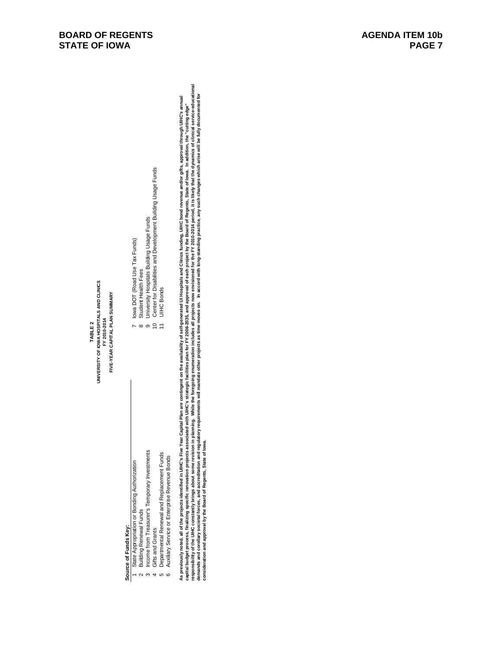- 
- -
	-
	-
- 
- 

uwerse of Funds (epy.<br>Source of Funds of European School School School School School School School School School School School School<br>- Simpley Description of European School School School School School School School Schoo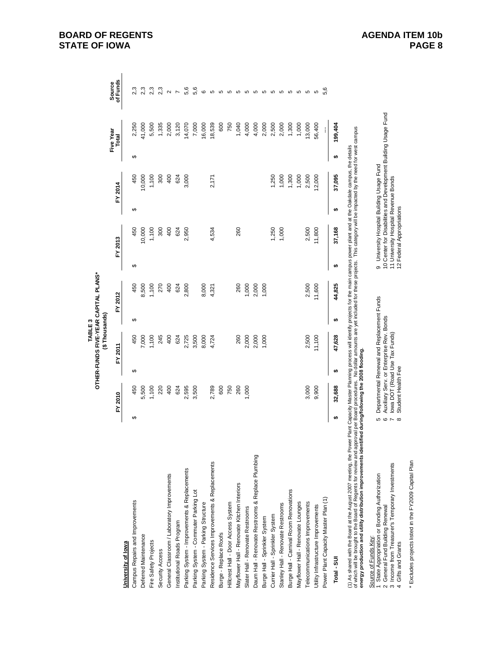**TABLE 3**<br>OTHER-FUNDS FIVE-YEAR CAPITAL PLANS\* **OTHER-FUNDS FIVE-YEAR CAPITAL PLANS\*** (\$Thousands) **(\$ Thousands)TABLE 3**

|                                                                                                                                                                                                                                                                                                                                                                                         |   |         |   |         |   |         |   |                                                                                                                                               |   |         |   | Five Year | Source            |
|-----------------------------------------------------------------------------------------------------------------------------------------------------------------------------------------------------------------------------------------------------------------------------------------------------------------------------------------------------------------------------------------|---|---------|---|---------|---|---------|---|-----------------------------------------------------------------------------------------------------------------------------------------------|---|---------|---|-----------|-------------------|
|                                                                                                                                                                                                                                                                                                                                                                                         |   | FY 2010 |   | FY 2011 |   | FY 2012 |   | FY 2013                                                                                                                                       |   | FY 2014 |   | Total     | of Funds          |
| University of lowa                                                                                                                                                                                                                                                                                                                                                                      |   |         |   |         |   |         |   |                                                                                                                                               |   |         |   |           |                   |
| Campus Repairs and Improvements                                                                                                                                                                                                                                                                                                                                                         | ↮ | 450     | ↮ | 450     | ↮ | 450     | ↮ | 450                                                                                                                                           | ↮ | 450     | ↮ | 2,250     |                   |
| Deferred Maintenance                                                                                                                                                                                                                                                                                                                                                                    |   | 5,500   |   | 000     |   | 8,500   |   | 10,000                                                                                                                                        |   | 0,000   |   | 41,000    |                   |
| Fire Safety Projects                                                                                                                                                                                                                                                                                                                                                                    |   | 1,100   |   | 100     |   | 100     |   | 1,100                                                                                                                                         |   | 1,100   |   | 5,500     | 2,3               |
| Security Access                                                                                                                                                                                                                                                                                                                                                                         |   | 220     |   | 245     |   | 270     |   | 300                                                                                                                                           |   | 300     |   | 1,335     | 2,3               |
| General Classroom / Laboratory Improvements                                                                                                                                                                                                                                                                                                                                             |   | 400     |   | 400     |   | 400     |   | 400                                                                                                                                           |   | 400     |   | 2,000     | $\mathbf{\Omega}$ |
| Institutional Roads Program                                                                                                                                                                                                                                                                                                                                                             |   | 624     |   | 624     |   | 624     |   | 624                                                                                                                                           |   | 624     |   | 3,120     |                   |
| Parking System - Improvements & Replacements                                                                                                                                                                                                                                                                                                                                            |   | 2,595   |   | 2,725   |   | 2,800   |   | 2,950                                                                                                                                         |   | 3,000   |   | 14,070    | 5,6               |
| Parking System - Commuter Parking Lot                                                                                                                                                                                                                                                                                                                                                   |   | 3,500   |   | 3,500   |   |         |   |                                                                                                                                               |   |         |   | 7,000     | 5,6               |
| Parking System - Parking Structure                                                                                                                                                                                                                                                                                                                                                      |   |         |   | 8,000   |   | 8,000   |   |                                                                                                                                               |   |         |   | 16,000    | ဖ                 |
| Residence Services Improvements & Replacements                                                                                                                                                                                                                                                                                                                                          |   | 2,789   |   | 4,724   |   | 4,321   |   | 4,534                                                                                                                                         |   | 2,171   |   | 18,539    | Б                 |
| Burge - Replace Roofs                                                                                                                                                                                                                                                                                                                                                                   |   | 600     |   |         |   |         |   |                                                                                                                                               |   |         |   | 600       | Б                 |
| Hilcrest Hall - Door Access System                                                                                                                                                                                                                                                                                                                                                      |   | 750     |   |         |   |         |   |                                                                                                                                               |   |         |   | 750       | 5                 |
| Mayflower Hall - Renovate Kitchen Interiors                                                                                                                                                                                                                                                                                                                                             |   | 260     |   | 260     |   | 260     |   | 260                                                                                                                                           |   |         |   | 1,040     | 5                 |
| Slater Hall - Renovate Restrooms                                                                                                                                                                                                                                                                                                                                                        |   | 1,000   |   | 2,000   |   | 1,000   |   |                                                                                                                                               |   |         |   | 4,000     | ю                 |
| Daum Hall - Renovate Restrooms & Replace Plumbing                                                                                                                                                                                                                                                                                                                                       |   |         |   | 2,000   |   | 2,000   |   |                                                                                                                                               |   |         |   | 4,000     | ω                 |
| Burge Hall - Sprinkler System                                                                                                                                                                                                                                                                                                                                                           |   |         |   | 1,000   |   | 1,000   |   |                                                                                                                                               |   |         |   | 2,000     | ю                 |
| Currier Hall - Sprinkler System                                                                                                                                                                                                                                                                                                                                                         |   |         |   |         |   |         |   | ,250                                                                                                                                          |   | 1,250   |   | 2,500     | Б                 |
| Stanley Hall - Renovate Restrooms                                                                                                                                                                                                                                                                                                                                                       |   |         |   |         |   |         |   | 000, 1                                                                                                                                        |   | 1,000   |   | 2,000     | 5                 |
| Burge Hall - Carnival Room Renovations                                                                                                                                                                                                                                                                                                                                                  |   |         |   |         |   |         |   |                                                                                                                                               |   | 1,300   |   | 1,300     | Б                 |
| Mayflower Hall - Renovate Lounges                                                                                                                                                                                                                                                                                                                                                       |   |         |   |         |   |         |   |                                                                                                                                               |   | 1,000   |   | 1,000     | 5                 |
| elecommunications Improvements                                                                                                                                                                                                                                                                                                                                                          |   | 3,000   |   | 2,500   |   | 2,500   |   | 2,500                                                                                                                                         |   | 2,500   |   | 13,000    | Б                 |
| Utility Infrastructure Improvements                                                                                                                                                                                                                                                                                                                                                     |   | 9,900   |   | 11,100  |   | 11,600  |   | 11,800                                                                                                                                        |   | 2,000   |   | 56,400    | 5                 |
| Power Plant Capacity Master Plan (1)                                                                                                                                                                                                                                                                                                                                                    |   |         |   |         |   |         |   |                                                                                                                                               |   |         |   | ĺ         | 5.6               |
| Total - SUI                                                                                                                                                                                                                                                                                                                                                                             | ↮ | 32,688  | ₩ | 47,628  | ↮ | 44,825  | ↮ | 37,168                                                                                                                                        | ₩ | 37,095  | ₩ | 199,404   |                   |
| (1) As shared with the Board at the August 2007 meeting, the Power Plant Capacity Master Planning process will identify projects for the main campus power plant and at the Oakdale campus, the details<br>energy production and utility distribution improvements identified during/following the 2008 flooding<br>of which will be brought to the Board of Regents for review and app |   |         |   |         |   |         |   | roval per Board procedures. No dollar amounts are yet included for these projects. This category will be impacted by the need for west campus |   |         |   |           |                   |
|                                                                                                                                                                                                                                                                                                                                                                                         |   |         |   |         |   |         |   |                                                                                                                                               |   |         |   |           |                   |

# Source of Funds Key:

- 1 State Appropriation or Bonding Authorization 5 Departmental Renewal and Replacement Funds 9 University Hospital Building Usage Fund Source of Funds Key:<br>1 State Appropriation or Bonding Authorization<br>2 General Fund Building Renewal<br>3 Income from Treasurer's Temporary Investments<br>4 Gifts and Grants
- 2 General Fund Building Renewal 6 Auxiliary Serv. or Enterprise Rev. Bonds 10 Center for Disabilities and Development Building Usage Fund
	-
	-
- 3 Income from Treasurer's Temporary Investments 7 Iowa DOT (Road Use Tax Funds) 11 University Hospital Revenue Bonds 4 Gifts and Grants 6 Student Health Fee 12 Student Health Fee 12 Student Appropriations
- 
- \* Excludes projects listed in the FY2009 Capital Plan Excludes projects listed in the FY2009 Capital Plan

9 University Hospital Building Usage Fund<br>10 Center for Disabilities and Development Building Usage Fund<br>11 University Hospital Revenue Bonds<br>12 Federal Appropriations

5 Departmental Renewal and Replacement Funds<br>6 Auxiliary Serv. or Enterprise Rev. Bonds<br>7 Iowa DOT (Road Use Tax Funds)<br>8 Student Health Fee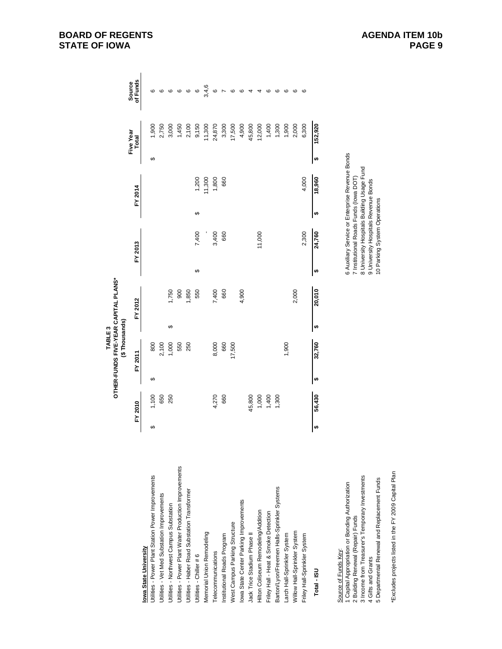|                                                                                       |   |         |   | OTHER-FUNDS FIVE-YEAR CAPITAL PLANS*<br>TABLE <sub>3</sub> |   |         |   |                                                                                    |   |         |   |           |                |
|---------------------------------------------------------------------------------------|---|---------|---|------------------------------------------------------------|---|---------|---|------------------------------------------------------------------------------------|---|---------|---|-----------|----------------|
|                                                                                       |   |         |   | (\$Thousands)                                              |   |         |   |                                                                                    |   |         |   | Five Year | Source         |
|                                                                                       |   | FY 2010 |   | FY 2011                                                    |   | FY 2012 |   | FY 2013                                                                            |   | FY 2014 |   | Total     | of Funds       |
| lowa State University                                                                 |   |         |   |                                                            |   |         |   |                                                                                    |   |         |   |           |                |
| Utilities - Power Plant Station Power Improvements                                    | ↮ | 1,100   | ↮ | 800                                                        |   |         |   |                                                                                    |   |         | ↮ | 1,900     |                |
| Jtilities - Vet Med Substation Improvements                                           |   | 650     |   | 2,100                                                      |   |         |   |                                                                                    |   |         |   | 2,750     |                |
| Utilities - Northwest Campus Substation                                               |   | 250     |   | 1,000                                                      | ↔ | 1,750   |   |                                                                                    |   |         |   | 3,000     | ဖ              |
| Jtilities - Power Plant Water Production Improvements                                 |   |         |   | 550                                                        |   | 900     |   |                                                                                    |   |         |   | 1,450     | ဖ              |
| Utilities - Haber Road Substation Transformer                                         |   |         |   | 250                                                        |   | 1,850   |   |                                                                                    |   |         |   | 2,100     | ဖ              |
| Utilities - Chiller # 6                                                               |   |         |   |                                                            |   | 550     | ↮ | 7,400                                                                              | ↔ | 1,200   |   | 9,150     | G              |
| <b>Vemorial Union Remodeling</b>                                                      |   |         |   |                                                            |   |         |   |                                                                                    |   | 11,300  |   | 11,300    | 3,4,6          |
| Telecommunications                                                                    |   | 4,270   |   | 8,000                                                      |   | 7,400   |   | 3,400                                                                              |   | 1,800   |   | 24,870    | ဖ              |
| Institutional Roads Program                                                           |   | 660     |   | 660                                                        |   | 660     |   | 660                                                                                |   | 660     |   | 3,300     |                |
| West Campus Parking Structure                                                         |   |         |   | 17,500                                                     |   |         |   |                                                                                    |   |         |   | 17,500    | ဖ              |
| lowa State Center Parking Improvements                                                |   |         |   |                                                            |   | 4,900   |   |                                                                                    |   |         |   | 4,900     | G              |
| Jack Trice Stadium Phase II                                                           |   | 45,800  |   |                                                            |   |         |   |                                                                                    |   |         |   | 45,800    | $\overline{4}$ |
| Hitton Coliseum Remodeling/Addition                                                   |   | 1,000   |   |                                                            |   |         |   | 11,000                                                                             |   |         |   | 12,000    | 4              |
| Friley Hall - Heat & Smoke Detection                                                  |   | 1,400   |   |                                                            |   |         |   |                                                                                    |   |         |   | 1,400     | ဖ              |
| Barton/Lyon/Freemen Halls-Sprinkler Systems                                           |   | 1,300   |   |                                                            |   |         |   |                                                                                    |   |         |   | 1,300     | ဖ              |
| Larch Hall-Sprinkler System                                                           |   |         |   | 1,900                                                      |   |         |   |                                                                                    |   |         |   | 1,900     | ဖ              |
| <b>Nillow Hall-Sprinkler System</b>                                                   |   |         |   |                                                            |   | 2,000   |   |                                                                                    |   |         |   | 2,000     | ဖ              |
| Friley Hall-Sprinkler System                                                          |   |         |   |                                                            |   |         |   | 2,300                                                                              |   | 4,000   |   | 6,300     | ဖ              |
| Total - ISU                                                                           | ↮ | 56,430  | ↮ | 32,760                                                     | ₩ | 20,010  | ↮ | 24,760                                                                             | ↮ | 18,960  | ↮ | 152,920   |                |
| Source of Funds Key:                                                                  |   |         |   |                                                            |   |         |   | 6 Auxiliary Service or Enterprise Revenue Bonds                                    |   |         |   |           |                |
| 1 Capital Appropriation or Bonding Authorization<br>2 Building Renewal (Repair) Funds |   |         |   |                                                            |   |         |   | 7 Institutional Roads Funds (lowa DOT)                                             |   |         |   |           |                |
| 3 Income from Treasurer's Temporary Investments<br>4 Gifts and Grants                 |   |         |   |                                                            |   |         |   | 8 University Hospitals Building Usage Fund<br>9 University Hospitals Revenue Bonds |   |         |   |           |                |
| 5 Departmental Renewal and Replacement Funds                                          |   |         |   |                                                            |   |         |   | 10 Parking System Operations                                                       |   |         |   |           |                |

\*Excludes projects listed in the FY 2009 Capital Plan \*Excludes projects listed in the FY 2009 Capital Plan